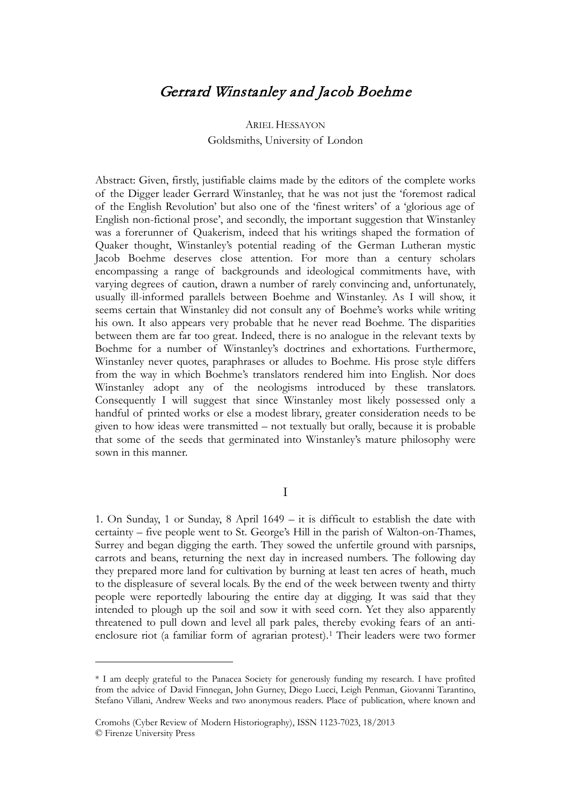# Gerrard Winstanley and Jacob Boehme

## ARIEL HESSAYON Goldsmiths, University of London

Abstract: Given, firstly, justifiable claims made by the editors of the complete works of the Digger leader Gerrard Winstanley, that he was not just the 'foremost radical of the English Revolution' but also one of the 'finest writers' of a 'glorious age of English non-fictional prose', and secondly, the important suggestion that Winstanley was a forerunner of Quakerism, indeed that his writings shaped the formation of Quaker thought, Winstanley's potential reading of the German Lutheran mystic Jacob Boehme deserves close attention. For more than a century scholars encompassing a range of backgrounds and ideological commitments have, with varying degrees of caution, drawn a number of rarely convincing and, unfortunately, usually ill-informed parallels between Boehme and Winstanley. As I will show, it seems certain that Winstanley did not consult any of Boehme's works while writing his own. It also appears very probable that he never read Boehme. The disparities between them are far too great. Indeed, there is no analogue in the relevant texts by Boehme for a number of Winstanley's doctrines and exhortations. Furthermore, Winstanley never quotes, paraphrases or alludes to Boehme. His prose style differs from the way in which Boehme's translators rendered him into English. Nor does Winstanley adopt any of the neologisms introduced by these translators. Consequently I will suggest that since Winstanley most likely possessed only a handful of printed works or else a modest library, greater consideration needs to be given to how ideas were transmitted – not textually but orally, because it is probable that some of the seeds that germinated into Winstanley's mature philosophy were sown in this manner.

## I

1. On Sunday, 1 or Sunday, 8 April 1649 – it is difficult to establish the date with certainty – five people went to St. George's Hill in the parish of Walton-on-Thames, Surrey and began digging the earth. They sowed the unfertile ground with parsnips, carrots and beans, returning the next day in increased numbers. The following day they prepared more land for cultivation by burning at least ten acres of heath, much to the displeasure of several locals. By the end of the week between twenty and thirty people were reportedly labouring the entire day at digging. It was said that they intended to plough up the soil and sow it with seed corn. Yet they also apparently threatened to pull down and level all park pales, thereby evoking fears of an anti-enclosure riot (a familiar form of agrarian protest).<sup>[1](#page-0-0)</sup> Their leaders were two former

<span id="page-0-0"></span><sup>\*</sup> I am deeply grateful to the Panacea Society for generously funding my research. I have profited from the advice of David Finnegan, John Gurney, Diego Lucci, Leigh Penman, Giovanni Tarantino, Stefano Villani, Andrew Weeks and two anonymous readers. Place of publication, where known and

Cromohs (Cyber Review of Modern Historiography), ISSN 1123-7023, 18/2013 © Firenze University Press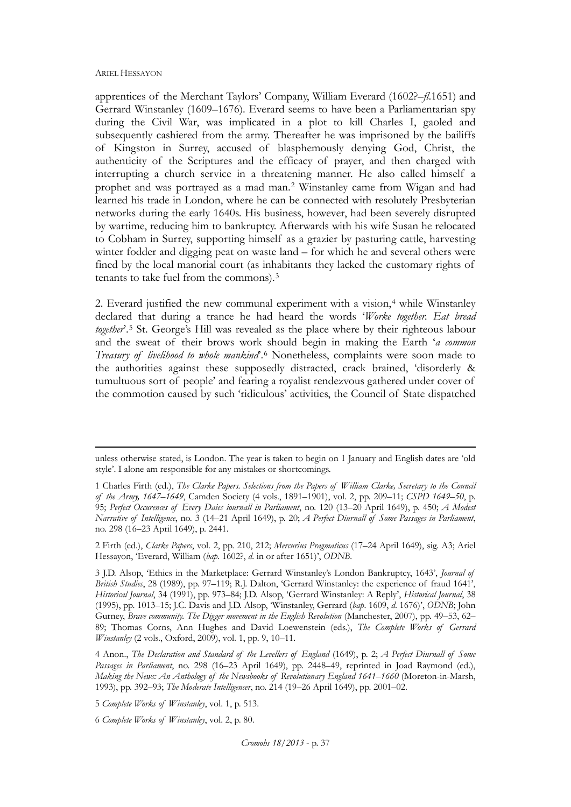$\overline{a}$ 

apprentices of the Merchant Taylors' Company, William Everard (1602?–*fl*.1651) and Gerrard Winstanley (1609–1676). Everard seems to have been a Parliamentarian spy during the Civil War, was implicated in a plot to kill Charles I, gaoled and subsequently cashiered from the army. Thereafter he was imprisoned by the bailiffs of Kingston in Surrey, accused of blasphemously denying God, Christ, the authenticity of the Scriptures and the efficacy of prayer, and then charged with interrupting a church service in a threatening manner. He also called himself a prophet and was portrayed as a mad man.[2](#page-1-0) Winstanley came from Wigan and had learned his trade in London, where he can be connected with resolutely Presbyterian networks during the early 1640s. His business, however, had been severely disrupted by wartime, reducing him to bankruptcy. Afterwards with his wife Susan he relocated to Cobham in Surrey, supporting himself as a grazier by pasturing cattle, harvesting winter fodder and digging peat on waste land – for which he and several others were fined by the local manorial court (as inhabitants they lacked the customary rights of tenants to take fuel from the commons).[3](#page-1-0)

2. Everard justified the new communal experiment with a vision, $4$  while Winstanley declared that during a trance he had heard the words '*Worke together. Eat bread together*'.[5](#page-1-0) St. George's Hill was revealed as the place where by their righteous labour and the sweat of their brows work should begin in making the Earth '*a common Treasury of livelihood to whole mankind*'.[6](#page-1-0) Nonetheless, complaints were soon made to the authorities against these supposedly distracted, crack brained, 'disorderly & tumultuous sort of people' and fearing a royalist rendezvous gathered under cover of the commotion caused by such 'ridiculous' activities, the Council of State dispatched

2 Firth (ed.), *Clarke Papers*, vol. 2, pp. 210, 212; *Mercurius Pragmaticus* (17–24 April 1649), sig. A3; Ariel Hessayon, 'Everard, William (*bap*. 1602?, *d*. in or after 1651)', *ODNB*.

5 *Complete Works of Winstanley*, vol. 1, p. 513.

6 *Complete Works of Winstanley*, vol. 2, p. 80.

<span id="page-1-0"></span>unless otherwise stated, is London. The year is taken to begin on 1 January and English dates are 'old style'. I alone am responsible for any mistakes or shortcomings.

<sup>1</sup> Charles Firth (ed.), *The Clarke Papers. Selections from the Papers of William Clarke, Secretary to the Council of the Army, 1647–1649*, Camden Society (4 vols., 1891–1901), vol. 2, pp. 209–11; *CSPD 1649–50*, p. 95; *Perfect Occurences of Every Daies iournall in Parliament*, no. 120 (13–20 April 1649), p. 450; *A Modest Narrative of Intelligence*, no. 3 (14–21 April 1649), p. 20; *A Perfect Diurnall of Some Passages in Parliament*, no. 298 (16–23 April 1649), p. 2441.

<sup>3</sup> J.D. Alsop, 'Ethics in the Marketplace: Gerrard Winstanley's London Bankruptcy, 1643', *Journal of British Studies*, 28 (1989), pp. 97–119; R.J. Dalton, 'Gerrard Winstanley: the experience of fraud 1641', *Historical Journal*, 34 (1991), pp. 973–84; J.D. Alsop, 'Gerrard Winstanley: A Reply', *Historical Journal*, 38 (1995), pp. 1013–15; J.C. Davis and J.D. Alsop, 'Winstanley, Gerrard (*bap*. 1609, *d*. 1676)', *ODNB*; John Gurney, *Brave community. The Digger movement in the English Revolution* (Manchester, 2007), pp. 49–53, 62– 89; Thomas Corns, Ann Hughes and David Loewenstein (eds.), *The Complete Works of Gerrard Winstanley* (2 vols., Oxford, 2009), vol. 1, pp. 9, 10–11.

<sup>4</sup> Anon., *The Declaration and Standard of the Levellers of England* (1649), p. 2; *A Perfect Diurnall of Some Passages in Parliament*, no. 298 (16–23 April 1649), pp. 2448–49, reprinted in Joad Raymond (ed.), *Making the News: An Anthology of the Newsbooks of Revolutionary England 1641–1660* (Moreton-in-Marsh, 1993), pp. 392–93; *The Moderate Intelligencer*, no. 214 (19–26 April 1649), pp. 2001–02.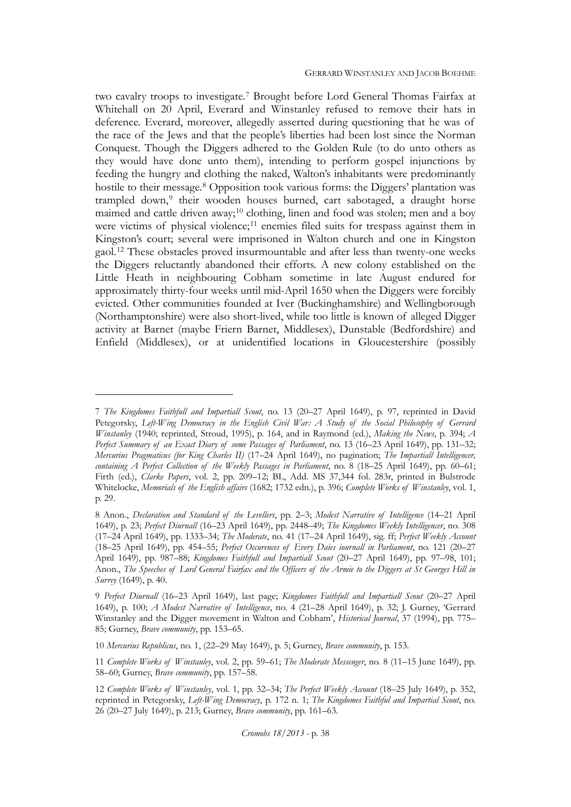two cavalry troops to investigate.[7](#page-2-0) Brought before Lord General Thomas Fairfax at Whitehall on 20 April, Everard and Winstanley refused to remove their hats in deference. Everard, moreover, allegedly asserted during questioning that he was of the race of the Jews and that the people's liberties had been lost since the Norman Conquest. Though the Diggers adhered to the Golden Rule (to do unto others as they would have done unto them), intending to perform gospel injunctions by feeding the hungry and clothing the naked, Walton's inhabitants were predominantly hostile to their message.<sup>[8](#page-2-0)</sup> Opposition took various forms: the Diggers' plantation was trampled down,<sup>[9](#page-2-0)</sup> their wooden houses burned, cart sabotaged, a draught horse maimed and cattle driven away;<sup>[10](#page-2-0)</sup> clothing, linen and food was stolen; men and a boy were victims of physical violence;<sup>[11](#page-2-0)</sup> enemies filed suits for trespass against them in Kingston's court; several were imprisoned in Walton church and one in Kingston gaol.[12](#page-2-0) These obstacles proved insurmountable and after less than twenty-one weeks the Diggers reluctantly abandoned their efforts. A new colony established on the Little Heath in neighbouring Cobham sometime in late August endured for approximately thirty-four weeks until mid-April 1650 when the Diggers were forcibly evicted. Other communities founded at Iver (Buckinghamshire) and Wellingborough (Northamptonshire) were also short-lived, while too little is known of alleged Digger activity at Barnet (maybe Friern Barnet, Middlesex), Dunstable (Bedfordshire) and Enfield (Middlesex), or at unidentified locations in Gloucestershire (possibly

<span id="page-2-0"></span><sup>7</sup> *The Kingdomes Faithfull and Impartiall Scout*, no. 13 (20–27 April 1649), p. 97, reprinted in David Petegorsky, *Left-Wing Democracy in the English Civil War: A Study of the Social Philosophy of Gerrard Winstanley* (1940; reprinted, Stroud, 1995), p. 164, and in Raymond (ed.), *Making the News*, p. 394; *A Perfect Summary of an Exact Diary of some Passages of Parliament*, no. 13 (16–23 April 1649), pp. 131–32; *Mercurius Pragmaticus (for King Charles II)* (17–24 April 1649), no pagination; *The Impartiall Intelligencer, containing A Perfect Collection of the Weekly Passages in Parliament*, no. 8 (18–25 April 1649), pp. 60–61; Firth (ed.), *Clarke Papers*, vol. 2, pp. 209–12; BL, Add. MS 37,344 fol. 283r, printed in Bulstrode Whitelocke, *Memorials of the English affairs* (1682; 1732 edn.), p. 396; *Complete Works of Winstanley*, vol. 1, p. 29.

<sup>8</sup> Anon., *Declaration and Standard of the Levellers*, pp. 2–3; *Modest Narrative of Intelligence* (14–21 April 1649), p. 23; *Perfect Diurnall* (16–23 April 1649), pp. 2448–49; *The Kingdomes Weekly Intelligencer*, no. 308 (17–24 April 1649), pp. 1333–34; *The Moderate*, no. 41 (17–24 April 1649), sig. ff; *Perfect Weekly Account* (18–25 April 1649), pp. 454–55; *Perfect Occurences of Every Daies iournall in Parliament*, no. 121 (20–27 April 1649), pp. 987–88; *Kingdomes Faithfull and Impartiall Scout* (20–27 April 1649), pp. 97–98, 101; Anon., *The Speeches of Lord General Fairfax and the Officers of the Armie to the Diggers at St Georges Hill in Surrey* (1649), p. 40.

<sup>9</sup> *Perfect Diurnall* (16–23 April 1649), last page; *Kingdomes Faithfull and Impartiall Scout* (20–27 April 1649), p. 100; *A Modest Narrative of Intelligence*, no. 4 (21–28 April 1649), p. 32; J. Gurney, 'Gerrard Winstanley and the Digger movement in Walton and Cobham', *Historical Journal*, 37 (1994), pp. 775– 85; Gurney, *Brave community*, pp. 153–65.

<sup>10</sup> *Mercurius Republicus*, no. 1, (22–29 May 1649), p. 5; Gurney, *Brave community*, p. 153.

<sup>11</sup> *Complete Works of Winstanley*, vol. 2, pp. 59–61; *The Moderate Messenger*, no. 8 (11–15 June 1649), pp. 58–60; Gurney, *Brave community*, pp. 157–58.

<sup>12</sup> *Complete Works of Winstanley*, vol. 1, pp. 32–34; *The Perfect Weekly Account* (18–25 July 1649), p. 352, reprinted in Petegorsky, *Left-Wing Democracy*, p. 172 n. 1; *The Kingdomes Faithful and Impartial Scout*, no. 26 (20–27 July 1649), p. 213; Gurney, *Brave community*, pp. 161–63.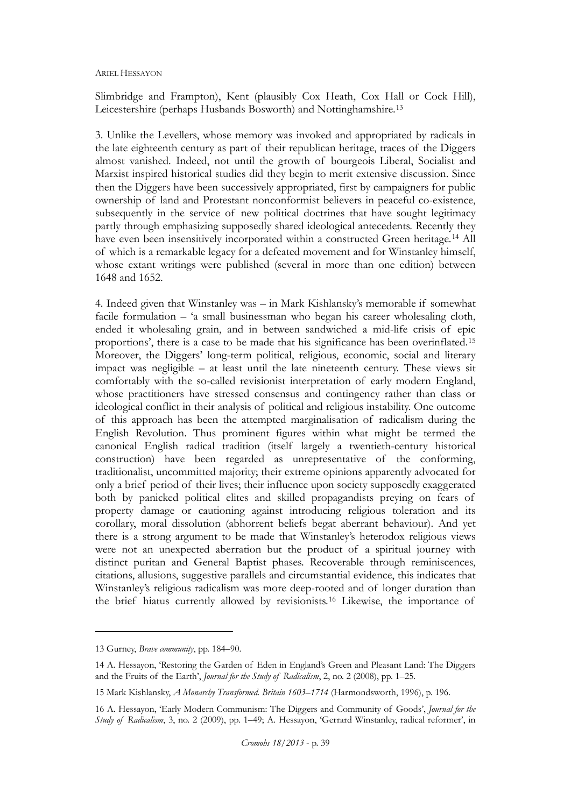Slimbridge and Frampton), Kent (plausibly Cox Heath, Cox Hall or Cock Hill), Leicestershire (perhaps Husbands Bosworth) and Nottinghamshire.[13](#page-3-0)

3. Unlike the Levellers, whose memory was invoked and appropriated by radicals in the late eighteenth century as part of their republican heritage, traces of the Diggers almost vanished. Indeed, not until the growth of bourgeois Liberal, Socialist and Marxist inspired historical studies did they begin to merit extensive discussion. Since then the Diggers have been successively appropriated, first by campaigners for public ownership of land and Protestant nonconformist believers in peaceful co-existence, subsequently in the service of new political doctrines that have sought legitimacy partly through emphasizing supposedly shared ideological antecedents. Recently they have even been insensitively incorporated within a constructed Green heritage.<sup>[14](#page-3-0)</sup> All of which is a remarkable legacy for a defeated movement and for Winstanley himself, whose extant writings were published (several in more than one edition) between 1648 and 1652.

4. Indeed given that Winstanley was – in Mark Kishlansky's memorable if somewhat facile formulation – 'a small businessman who began his career wholesaling cloth, ended it wholesaling grain, and in between sandwiched a mid-life crisis of epic proportions', there is a case to be made that his significance has been overinflated.[15](#page-3-0) Moreover, the Diggers' long-term political, religious, economic, social and literary impact was negligible – at least until the late nineteenth century. These views sit comfortably with the so-called revisionist interpretation of early modern England, whose practitioners have stressed consensus and contingency rather than class or ideological conflict in their analysis of political and religious instability. One outcome of this approach has been the attempted marginalisation of radicalism during the English Revolution. Thus prominent figures within what might be termed the canonical English radical tradition (itself largely a twentieth-century historical construction) have been regarded as unrepresentative of the conforming, traditionalist, uncommitted majority; their extreme opinions apparently advocated for only a brief period of their lives; their influence upon society supposedly exaggerated both by panicked political elites and skilled propagandists preying on fears of property damage or cautioning against introducing religious toleration and its corollary, moral dissolution (abhorrent beliefs begat aberrant behaviour). And yet there is a strong argument to be made that Winstanley's heterodox religious views were not an unexpected aberration but the product of a spiritual journey with distinct puritan and General Baptist phases. Recoverable through reminiscences, citations, allusions, suggestive parallels and circumstantial evidence, this indicates that Winstanley's religious radicalism was more deep-rooted and of longer duration than the brief hiatus currently allowed by revisionists.[16](#page-3-0) Likewise, the importance of

<span id="page-3-0"></span><sup>13</sup> Gurney, *Brave community*, pp. 184–90.

<sup>14</sup> A. Hessayon, 'Restoring the Garden of Eden in England's Green and Pleasant Land: The Diggers and the Fruits of the Earth', *Journal for the Study of Radicalism*, 2, no. 2 (2008), pp. 1–25.

<sup>15</sup> Mark Kishlansky, *A Monarchy Transformed. Britain 1603–1714* (Harmondsworth, 1996), p. 196.

<sup>16</sup> A. Hessayon, 'Early Modern Communism: The Diggers and Community of Goods', *Journal for the Study of Radicalism*, 3, no. 2 (2009), pp. 1–49; A. Hessayon, 'Gerrard Winstanley, radical reformer', in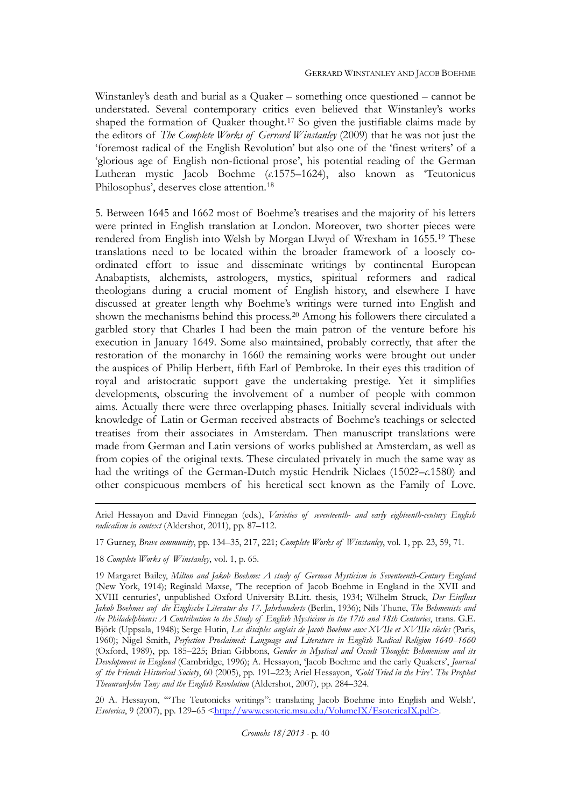Winstanley's death and burial as a Quaker – something once questioned – cannot be understated. Several contemporary critics even believed that Winstanley's works shaped the formation of Quaker thought.[17](#page-4-0) So given the justifiable claims made by the editors of *The Complete Works of Gerrard Winstanley* (2009) that he was not just the 'foremost radical of the English Revolution' but also one of the 'finest writers' of a 'glorious age of English non-fictional prose', his potential reading of the German Lutheran mystic Jacob Boehme (*c*.1575–1624), also known as 'Teutonicus Philosophus', deserves close attention.[18](#page-4-0)

5. Between 1645 and 1662 most of Boehme's treatises and the majority of his letters were printed in English translation at London. Moreover, two shorter pieces were rendered from English into Welsh by Morgan Llwyd of Wrexham in 1655.[19](#page-4-0) These translations need to be located within the broader framework of a loosely coordinated effort to issue and disseminate writings by continental European Anabaptists, alchemists, astrologers, mystics, spiritual reformers and radical theologians during a crucial moment of English history, and elsewhere I have discussed at greater length why Boehme's writings were turned into English and shown the mechanisms behind this process.[20](#page-4-0) Among his followers there circulated a garbled story that Charles I had been the main patron of the venture before his execution in January 1649. Some also maintained, probably correctly, that after the restoration of the monarchy in 1660 the remaining works were brought out under the auspices of Philip Herbert, fifth Earl of Pembroke. In their eyes this tradition of royal and aristocratic support gave the undertaking prestige. Yet it simplifies developments, obscuring the involvement of a number of people with common aims. Actually there were three overlapping phases. Initially several individuals with knowledge of Latin or German received abstracts of Boehme's teachings or selected treatises from their associates in Amsterdam. Then manuscript translations were made from German and Latin versions of works published at Amsterdam, as well as from copies of the original texts. These circulated privately in much the same way as had the writings of the German-Dutch mystic Hendrik Niclaes (1502?–*c*.1580) and other conspicuous members of his heretical sect known as the Family of Love.

 $\overline{a}$ 

20 A. Hessayon, '"The Teutonicks writings": translating Jacob Boehme into English and Welsh', *Esoterica*, 9 (2007), pp. 129–65 <http://www.esoteric.msu.edu/VolumeIX/EsotericaIX.pdf>.

<span id="page-4-0"></span>Ariel Hessayon and David Finnegan (eds.), *Varieties of seventeenth- and early eighteenth-century English radicalism in context* (Aldershot, 2011), pp. 87–112.

<sup>17</sup> Gurney, *Brave community*, pp. 134–35, 217, 221; *Complete Works of Winstanley*, vol. 1, pp. 23, 59, 71.

<sup>18</sup> *Complete Works of Winstanley*, vol. 1, p. 65.

<sup>19</sup> Margaret Bailey, *Milton and Jakob Boehme: A study of German Mysticism in Seventeenth-Century England* (New York, 1914); Reginald Maxse, 'The reception of Jacob Boehme in England in the XVII and XVIII centuries', unpublished Oxford University B.Litt. thesis, 1934; Wilhelm Struck, *Der Einfluss Jakob Boehmes auf die Englische Literatur des 17. Jahrhunderts* (Berlin, 1936); Nils Thune, *The Behmenists and the Philadelphians: A Contribution to the Study of English Mysticism in the 17th and 18th Centuries*, trans. G.E. Björk (Uppsala, 1948); Serge Hutin, *Les disciples anglais de Jacob Boehme aux XVIIe et XVIIIe siècles* (Paris, 1960); Nigel Smith, *Perfection Proclaimed: Language and Literature in English Radical Religion 1640–1660* (Oxford, 1989), pp. 185–225; Brian Gibbons, *Gender in Mystical and Occult Thought: Behmenism and its Development in England* (Cambridge, 1996); A. Hessayon, 'Jacob Boehme and the early Quakers', *Journal of the Friends Historical Society*, 60 (2005), pp. 191–223; Ariel Hessayon, *'Gold Tried in the Fire'. The Prophet TheaurauJohn Tany and the English Revolution* (Aldershot, 2007), pp. 284–324.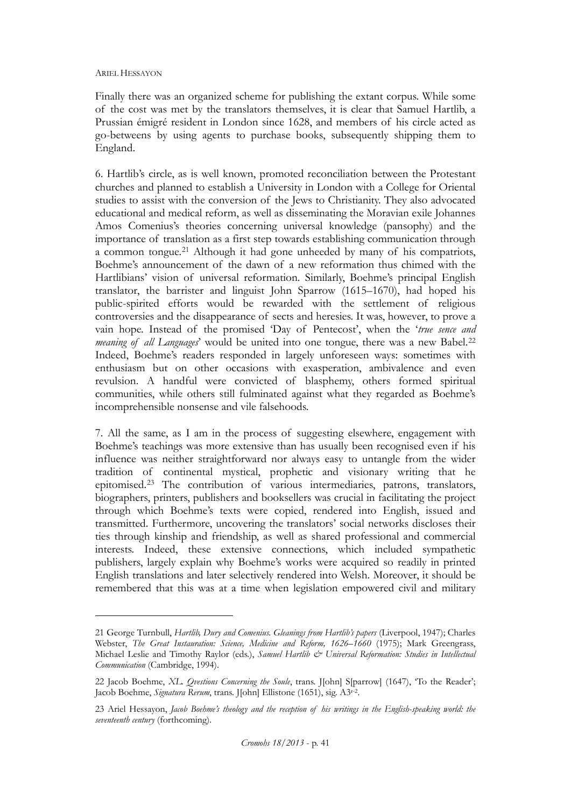Finally there was an organized scheme for publishing the extant corpus. While some of the cost was met by the translators themselves, it is clear that Samuel Hartlib, a Prussian émigré resident in London since 1628, and members of his circle acted as go-betweens by using agents to purchase books, subsequently shipping them to England.

6. Hartlib's circle, as is well known, promoted reconciliation between the Protestant churches and planned to establish a University in London with a College for Oriental studies to assist with the conversion of the Jews to Christianity. They also advocated educational and medical reform, as well as disseminating the Moravian exile Johannes Amos Comenius's theories concerning universal knowledge (pansophy) and the importance of translation as a first step towards establishing communication through a common tongue.[21](#page-5-0) Although it had gone unheeded by many of his compatriots, Boehme's announcement of the dawn of a new reformation thus chimed with the Hartlibians' vision of universal reformation. Similarly, Boehme's principal English translator, the barrister and linguist John Sparrow (1615–1670), had hoped his public-spirited efforts would be rewarded with the settlement of religious controversies and the disappearance of sects and heresies. It was, however, to prove a vain hope. Instead of the promised 'Day of Pentecost', when the '*true sence and meaning of all Languages*' would be united into one tongue, there was a new Babel.<sup>[22](#page-5-0)</sup> Indeed, Boehme's readers responded in largely unforeseen ways: sometimes with enthusiasm but on other occasions with exasperation, ambivalence and even revulsion. A handful were convicted of blasphemy, others formed spiritual communities, while others still fulminated against what they regarded as Boehme's incomprehensible nonsense and vile falsehoods.

7. All the same, as I am in the process of suggesting elsewhere, engagement with Boehme's teachings was more extensive than has usually been recognised even if his influence was neither straightforward nor always easy to untangle from the wider tradition of continental mystical, prophetic and visionary writing that he epitomised.[23](#page-5-0) The contribution of various intermediaries, patrons, translators, biographers, printers, publishers and booksellers was crucial in facilitating the project through which Boehme's texts were copied, rendered into English, issued and transmitted. Furthermore, uncovering the translators' social networks discloses their ties through kinship and friendship, as well as shared professional and commercial interests. Indeed, these extensive connections, which included sympathetic publishers, largely explain why Boehme's works were acquired so readily in printed English translations and later selectively rendered into Welsh. Moreover, it should be remembered that this was at a time when legislation empowered civil and military

<span id="page-5-0"></span><sup>21</sup> George Turnbull, *Hartlib, Dury and Comenius. Gleanings from Hartlib's papers* (Liverpool, 1947); Charles Webster, *The Great Instauration: Science, Medicine and Reform, 1626–1660* (1975); Mark Greengrass, Michael Leslie and Timothy Raylor (eds.), Samuel Hartlib & Universal Reformation: Studies in Intellectual *Communication* (Cambridge, 1994).

<sup>22</sup> Jacob Boehme, *XL. Qvestions Concerning the Soule*, trans. J[ohn] S[parrow] (1647), 'To the Reader'; Jacob Boehme, *Signatura Rerum*, trans. J[ohn] Ellistone (1651), sig. A3r-2.

<sup>23</sup> Ariel Hessayon, *Jacob Boehme's theology and the reception of his writings in the English-speaking world: the seventeenth century* (forthcoming).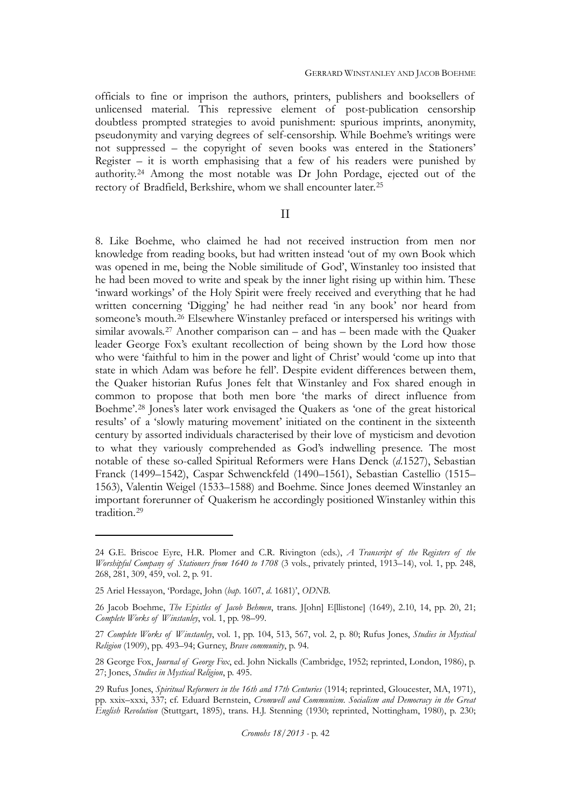officials to fine or imprison the authors, printers, publishers and booksellers of unlicensed material. This repressive element of post-publication censorship doubtless prompted strategies to avoid punishment: spurious imprints, anonymity, pseudonymity and varying degrees of self-censorship. While Boehme's writings were not suppressed – the copyright of seven books was entered in the Stationers' Register – it is worth emphasising that a few of his readers were punished by authority.[24](#page-6-0) Among the most notable was Dr John Pordage, ejected out of the rectory of Bradfield, Berkshire, whom we shall encounter later.[25](#page-6-0)

## II

8. Like Boehme, who claimed he had not received instruction from men nor knowledge from reading books, but had written instead 'out of my own Book which was opened in me, being the Noble similitude of God', Winstanley too insisted that he had been moved to write and speak by the inner light rising up within him. These 'inward workings' of the Holy Spirit were freely received and everything that he had written concerning 'Digging' he had neither read 'in any book' nor heard from someone's mouth.[26](#page-6-0) Elsewhere Winstanley prefaced or interspersed his writings with similar avowals.<sup>[27](#page-6-0)</sup> Another comparison can – and has – been made with the Quaker leader George Fox's exultant recollection of being shown by the Lord how those who were 'faithful to him in the power and light of Christ' would 'come up into that state in which Adam was before he fell'. Despite evident differences between them, the Quaker historian Rufus Jones felt that Winstanley and Fox shared enough in common to propose that both men bore 'the marks of direct influence from Boehme'.[28](#page-6-0) Jones's later work envisaged the Quakers as 'one of the great historical results' of a 'slowly maturing movement' initiated on the continent in the sixteenth century by assorted individuals characterised by their love of mysticism and devotion to what they variously comprehended as God's indwelling presence. The most notable of these so-called Spiritual Reformers were Hans Denck (*d*.1527), Sebastian Franck (1499–1542), Caspar Schwenckfeld (1490–1561), Sebastian Castellio (1515– 1563), Valentin Weigel (1533–1588) and Boehme. Since Jones deemed Winstanley an important forerunner of Quakerism he accordingly positioned Winstanley within this tradition.[29](#page-6-0)

<span id="page-6-0"></span><sup>24</sup> G.E. Briscoe Eyre, H.R. Plomer and C.R. Rivington (eds.), *A Transcript of the Registers of the Worshipful Company of Stationers from 1640 to 1708* (3 vols., privately printed, 1913–14), vol. 1, pp. 248, 268, 281, 309, 459, vol. 2, p. 91.

<sup>25</sup> Ariel Hessayon, 'Pordage, John (*bap*. 1607, *d*. 1681)', *ODNB*.

<sup>26</sup> Jacob Boehme, *The Epistles of Jacob Behmen*, trans. J[ohn] E[llistone] (1649), 2.10, 14, pp. 20, 21; *Complete Works of Winstanley*, vol. 1, pp. 98–99.

<sup>27</sup> *Complete Works of Winstanley*, vol. 1, pp. 104, 513, 567, vol. 2, p. 80; Rufus Jones, *Studies in Mystical Religion* (1909), pp. 493–94; Gurney, *Brave community*, p. 94.

<sup>28</sup> George Fox, *Journal of George Fox*, ed. John Nickalls (Cambridge, 1952; reprinted, London, 1986), p. 27; Jones, *Studies in Mystical Religion*, p. 495.

<sup>29</sup> Rufus Jones, *Spiritual Reformers in the 16th and 17th Centuries* (1914; reprinted, Gloucester, MA, 1971), pp. xxix–xxxi, 337; cf. Eduard Bernstein, *Cromwell and Communism. Socialism and Democracy in the Great English Revolution* (Stuttgart, 1895), trans. H.J. Stenning (1930; reprinted, Nottingham, 1980), p. 230;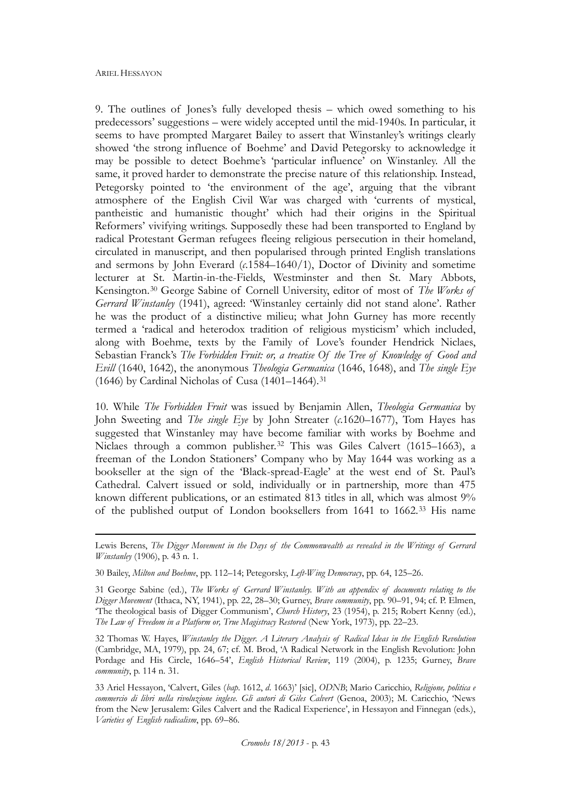$\overline{a}$ 

9. The outlines of Jones's fully developed thesis – which owed something to his predecessors' suggestions – were widely accepted until the mid-1940s. In particular, it seems to have prompted Margaret Bailey to assert that Winstanley's writings clearly showed 'the strong influence of Boehme' and David Petegorsky to acknowledge it may be possible to detect Boehme's 'particular influence' on Winstanley. All the same, it proved harder to demonstrate the precise nature of this relationship. Instead, Petegorsky pointed to 'the environment of the age', arguing that the vibrant atmosphere of the English Civil War was charged with 'currents of mystical, pantheistic and humanistic thought' which had their origins in the Spiritual Reformers' vivifying writings. Supposedly these had been transported to England by radical Protestant German refugees fleeing religious persecution in their homeland, circulated in manuscript, and then popularised through printed English translations and sermons by John Everard (*c*.1584–1640/1), Doctor of Divinity and sometime lecturer at St. Martin-in-the-Fields, Westminster and then St. Mary Abbots, Kensington.[30](#page-7-0) George Sabine of Cornell University, editor of most of *The Works of Gerrard Winstanley* (1941), agreed: 'Winstanley certainly did not stand alone'. Rather he was the product of a distinctive milieu; what John Gurney has more recently termed a 'radical and heterodox tradition of religious mysticism' which included, along with Boehme, texts by the Family of Love's founder Hendrick Niclaes, Sebastian Franck's *The Forbidden Fruit: or, a treatise Of the Tree of Knowledge of Good and Evill* (1640, 1642), the anonymous *Theologia Germanica* (1646, 1648), and *The single Eye* (1646) by Cardinal Nicholas of Cusa  $(1401-1464).$ <sup>[31](#page-7-0)</sup>

10. While *The Forbidden Fruit* was issued by Benjamin Allen, *Theologia Germanica* by John Sweeting and *The single Eye* by John Streater (*c*.1620–1677), Tom Hayes has suggested that Winstanley may have become familiar with works by Boehme and Niclaes through a common publisher.<sup>[32](#page-7-0)</sup> This was Giles Calvert (1615–1663), a freeman of the London Stationers' Company who by May 1644 was working as a bookseller at the sign of the 'Black-spread-Eagle' at the west end of St. Paul's Cathedral. Calvert issued or sold, individually or in partnership, more than 475 known different publications, or an estimated 813 titles in all, which was almost 9% of the published output of London booksellers from 1641 to 1662.[33](#page-7-0) His name

<span id="page-7-0"></span>Lewis Berens, *The Digger Movement in the Days of the Commonwealth as revealed in the Writings of Gerrard Winstanley* (1906), p. 43 n. 1.

<sup>30</sup> Bailey, *Milton and Boehme*, pp. 112–14; Petegorsky, *Left-Wing Democracy*, pp. 64, 125–26.

<sup>31</sup> George Sabine (ed.), *The Works of Gerrard Winstanley. With an appendix of documents relating to the Digger Movement* (Ithaca, NY, 1941), pp. 22, 28–30; Gurney, *Brave community*, pp. 90–91, 94; cf. P. Elmen, 'The theological basis of Digger Communism', *Church History*, 23 (1954), p. 215; Robert Kenny (ed.), *The Law of Freedom in a Platform or, True Magistracy Restored* (New York, 1973), pp. 22–23.

<sup>32</sup> Thomas W. Hayes, *Winstanley the Digger. A Literary Analysis of Radical Ideas in the English Revolution* (Cambridge, MA, 1979), pp. 24, 67; cf. M. Brod, 'A Radical Network in the English Revolution: John Pordage and His Circle, 1646–54', *English Historical Review*, 119 (2004), p. 1235; Gurney, *Brave community*, p. 114 n. 31.

<sup>33</sup> Ariel Hessayon, 'Calvert, Giles (*bap*. 1612, *d*. 1663)' [sic], *ODNB*; Mario Caricchio, *Religione, politica e commercio di libri nella rivoluzione inglese. Gli autori di Giles Calvert* (Genoa, 2003); M. Caricchio, 'News from the New Jerusalem: Giles Calvert and the Radical Experience', in Hessayon and Finnegan (eds.), *Varieties of English radicalism*, pp. 69–86.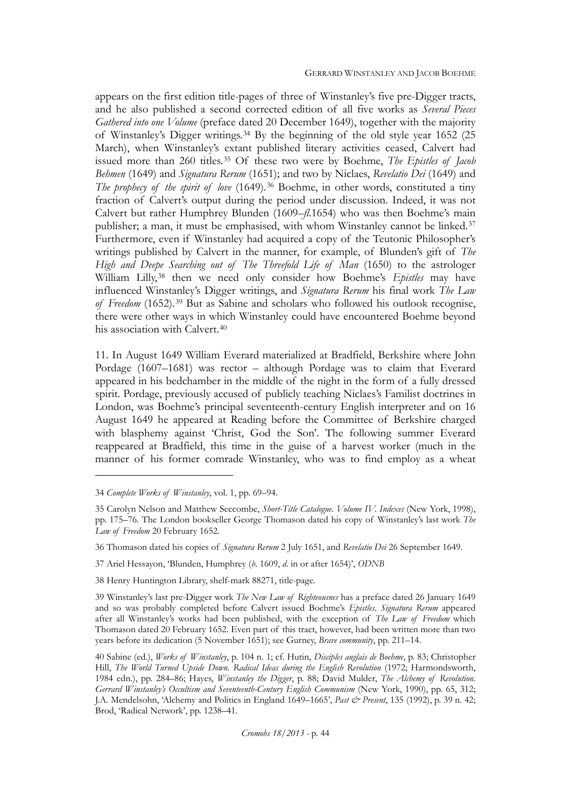appears on the first edition title-pages of three of Winstanley's five pre-Digger tracts, and he also published a second corrected edition of all five works as *Several Pieces Gathered into one Volume* (preface dated 20 December 1649), together with the majority of Winstanley's Digger writings.[34](#page-8-0) By the beginning of the old style year 1652 (25 March), when Winstanley's extant published literary activities ceased, Calvert had issued more than 260 titles.[35](#page-8-0) Of these two were by Boehme, *The Epistles of Jacob Behmen* (1649) and *Signatura Rerum* (1651); and two by Niclaes, *Revelatio Dei* (1649) and *The prophecy of the spirit of love* (1649).<sup>[36](#page-8-0)</sup> Boehme, in other words, constituted a tiny fraction of Calvert's output during the period under discussion. Indeed, it was not Calvert but rather Humphrey Blunden (1609–*fl*.1654) who was then Boehme's main publisher; a man, it must be emphasised, with whom Winstanley cannot be linked.[37](#page-8-0) Furthermore, even if Winstanley had acquired a copy of the Teutonic Philosopher's writings published by Calvert in the manner, for example, of Blunden's gift of *The High and Deepe Searching out of The Threefold Life of Man* (1650) to the astrologer William Lilly,[38](#page-8-0) then we need only consider how Boehme's *Epistles* may have influenced Winstanley's Digger writings, and *Signatura Rerum* his final work *The Law of Freedom* (1652).[39](#page-8-0) But as Sabine and scholars who followed his outlook recognise, there were other ways in which Winstanley could have encountered Boehme beyond his association with Calvert.<sup>[40](#page-8-0)</sup>

11. In August 1649 William Everard materialized at Bradfield, Berkshire where John Pordage (1607–1681) was rector – although Pordage was to claim that Everard appeared in his bedchamber in the middle of the night in the form of a fully dressed spirit. Pordage, previously accused of publicly teaching Niclaes's Familist doctrines in London, was Boehme's principal seventeenth-century English interpreter and on 16 August 1649 he appeared at Reading before the Committee of Berkshire charged with blasphemy against 'Christ, God the Son'. The following summer Everard reappeared at Bradfield, this time in the guise of a harvest worker (much in the manner of his former comrade Winstanley, who was to find employ as a wheat

<span id="page-8-0"></span><sup>34</sup> *Complete Works of Winstanley*, vol. 1, pp. 69–94.

<sup>35</sup> Carolyn Nelson and Matthew Seccombe, *Short-Title Catalogue. Volume IV. Indexes* (New York, 1998), pp. 175–76. The London bookseller George Thomason dated his copy of Winstanley's last work *The Law of Freedom* 20 February 1652.

<sup>36</sup> Thomason dated his copies of *Signatura Rerum* 2 July 1651, and *Revelatio Dei* 26 September 1649.

<sup>37</sup> Ariel Hessayon, 'Blunden, Humphrey (*b*. 1609, *d*. in or after 1654)', *ODNB*

<sup>38</sup> Henry Huntington Library, shelf-mark 88271, title-page.

<sup>39</sup> Winstanley's last pre-Digger work *The New Law of Righteousnes* has a preface dated 26 January 1649 and so was probably completed before Calvert issued Boehme's *Epistles*. *Signatura Rerum* appeared after all Winstanley's works had been published, with the exception of *The Law of Freedom* which Thomason dated 20 February 1652. Even part of this tract, however, had been written more than two years before its dedication (5 November 1651); see Gurney, *Brave community*, pp. 211–14.

<sup>40</sup> Sabine (ed.), *Works of Winstanley*, p. 104 n. 1; cf. Hutin, *Disciples anglais de Boehme*, p. 83; Christopher Hill, *The World Turned Upside Down. Radical Ideas during the English Revolution* (1972; Harmondsworth, 1984 edn.), pp. 284–86; Hayes, *Winstanley the Digger*, p. 88; David Mulder, *The Alchemy of Revolution. Gerrard Winstanley's Occultism and Seventeenth-Century English Communism* (New York, 1990), pp. 65, 312; J.A. Mendelsohn, 'Alchemy and Politics in England 1649–1665', *Past & Present*, 135 (1992), p. 39 n. 42; Brod, 'Radical Network', pp. 1238–41.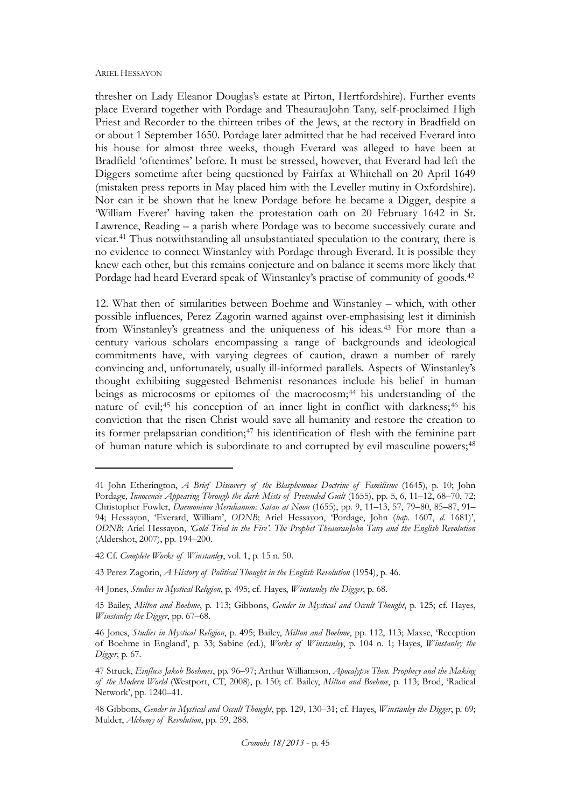thresher on Lady Eleanor Douglas's estate at Pirton, Hertfordshire). Further events place Everard together with Pordage and TheaurauJohn Tany, self-proclaimed High Priest and Recorder to the thirteen tribes of the Jews, at the rectory in Bradfield on or about 1 September 1650. Pordage later admitted that he had received Everard into his house for almost three weeks, though Everard was alleged to have been at Bradfield 'oftentimes' before. It must be stressed, however, that Everard had left the Diggers sometime after being questioned by Fairfax at Whitehall on 20 April 1649 (mistaken press reports in May placed him with the Leveller mutiny in Oxfordshire). Nor can it be shown that he knew Pordage before he became a Digger, despite a 'William Everet' having taken the protestation oath on 20 February 1642 in St. Lawrence, Reading – a parish where Pordage was to become successively curate and vicar.[41](#page-9-0) Thus notwithstanding all unsubstantiated speculation to the contrary, there is no evidence to connect Winstanley with Pordage through Everard. It is possible they knew each other, but this remains conjecture and on balance it seems more likely that Pordage had heard Everard speak of Winstanley's practise of community of goods.<sup>[42](#page-9-0)</sup>

12. What then of similarities between Boehme and Winstanley – which, with other possible influences, Perez Zagorin warned against over-emphasising lest it diminish from Winstanley's greatness and the uniqueness of his ideas.[43](#page-9-0) For more than a century various scholars encompassing a range of backgrounds and ideological commitments have, with varying degrees of caution, drawn a number of rarely convincing and, unfortunately, usually ill-informed parallels. Aspects of Winstanley's thought exhibiting suggested Behmenist resonances include his belief in human beings as microcosms or epitomes of the macrocosm;<sup>[44](#page-9-0)</sup> his understanding of the nature of evil;<sup>[45](#page-9-0)</sup> his conception of an inner light in conflict with darkness;<sup>[46](#page-9-0)</sup> his conviction that the risen Christ would save all humanity and restore the creation to its former prelapsarian condition;[47](#page-9-0) his identification of flesh with the feminine part of human nature which is subordinate to and corrupted by evil masculine powers;<sup>[48](#page-9-0)</sup>

<span id="page-9-0"></span><sup>41</sup> John Etherington, *A Brief Discovery of the Blasphemous Doctrine of Familisme* (1645), p. 10; John Pordage, *Innocencie Appearing Through the dark Mists of Pretended Guilt* (1655), pp. 5, 6, 11–12, 68–70, 72; Christopher Fowler, *Daemonium Meridianum: Satan at Noon* (1655), pp. 9, 11–13, 57, 79–80, 85–87, 91– 94; Hessayon, 'Everard, William', *ODNB*; Ariel Hessayon, 'Pordage, John (*bap*. 1607, *d*. 1681)', *ODNB*; Ariel Hessayon, *'Gold Tried in the Fire'. The Prophet TheaurauJohn Tany and the English Revolution* (Aldershot, 2007), pp. 194–200.

<sup>42</sup> Cf. *Complete Works of Winstanley*, vol. 1, p. 15 n. 50.

<sup>43</sup> Perez Zagorin, *A History of Political Thought in the English Revolution* (1954), p. 46.

<sup>44</sup> Jones, *Studies in Mystical Religion*, p. 495; cf. Hayes, *Winstanley the Digger*, p. 68.

<sup>45</sup> Bailey, *Milton and Boehme*, p. 113; Gibbons, *Gender in Mystical and Occult Thought*, p. 125; cf. Hayes, *Winstanley the Digger*, pp. 67–68.

<sup>46</sup> Jones, *Studies in Mystical Religion*, p. 495; Bailey, *Milton and Boehme*, pp. 112, 113; Maxse, 'Reception of Boehme in England', p. 33; Sabine (ed.), *Works of Winstanley*, p. 104 n. 1; Hayes, *Winstanley the Digger*, p. 67.

<sup>47</sup> Struck, *Einfluss Jakob Boehmes*, pp. 96–97; Arthur Williamson, *Apocalypse Then. Prophecy and the Making of the Modern World* (Westport, CT, 2008), p. 150; cf. Bailey, *Milton and Boehme*, p. 113; Brod, 'Radical Network', pp. 1240–41.

<sup>48</sup> Gibbons, *Gender in Mystical and Occult Thought*, pp. 129, 130–31; cf. Hayes, *Winstanley the Digger*, p. 69; Mulder, *Alchemy of Revolution*, pp. 59, 288.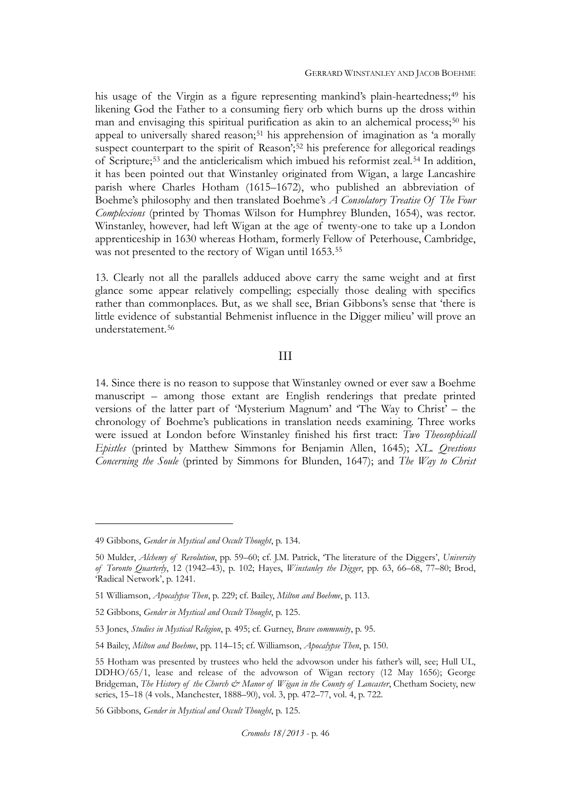his usage of the Virgin as a figure representing mankind's plain-heartedness;<sup>[49](#page-10-0)</sup> his likening God the Father to a consuming fiery orb which burns up the dross within man and envisaging this spiritual purification as akin to an alchemical process;<sup>[50](#page-10-0)</sup> his appeal to universally shared reason;<sup>[51](#page-10-0)</sup> his apprehension of imagination as 'a morally suspect counterpart to the spirit of Reason';<sup>[52](#page-10-0)</sup> his preference for allegorical readings of Scripture;[53](#page-10-0) and the anticlericalism which imbued his reformist zeal.[54](#page-10-0) In addition, it has been pointed out that Winstanley originated from Wigan, a large Lancashire parish where Charles Hotham (1615–1672), who published an abbreviation of Boehme's philosophy and then translated Boehme's *A Consolatory Treatise Of The Four Complexions* (printed by Thomas Wilson for Humphrey Blunden, 1654), was rector. Winstanley, however, had left Wigan at the age of twenty-one to take up a London apprenticeship in 1630 whereas Hotham, formerly Fellow of Peterhouse, Cambridge, was not presented to the rectory of Wigan until 1653.<sup>[55](#page-10-0)</sup>

13. Clearly not all the parallels adduced above carry the same weight and at first glance some appear relatively compelling; especially those dealing with specifics rather than commonplaces. But, as we shall see, Brian Gibbons's sense that 'there is little evidence of substantial Behmenist influence in the Digger milieu' will prove an understatement.[56](#page-10-0)

## III

14. Since there is no reason to suppose that Winstanley owned or ever saw a Boehme manuscript – among those extant are English renderings that predate printed versions of the latter part of 'Mysterium Magnum' and 'The Way to Christ' – the chronology of Boehme's publications in translation needs examining. Three works were issued at London before Winstanley finished his first tract: *Two Theosophicall Epistles* (printed by Matthew Simmons for Benjamin Allen, 1645); *XL. Qvestions Concerning the Soule* (printed by Simmons for Blunden, 1647); and *The Way to Christ* 

<span id="page-10-0"></span><sup>49</sup> Gibbons, *Gender in Mystical and Occult Thought*, p. 134.

<sup>50</sup> Mulder, *Alchemy of Revolution*, pp. 59–60; cf. J.M. Patrick, 'The literature of the Diggers', *University of Toronto Quarterly*, 12 (1942–43), p. 102; Hayes, *Winstanley the Digger*, pp. 63, 66–68, 77–80; Brod, 'Radical Network', p. 1241.

<sup>51</sup> Williamson, *Apocalypse Then*, p. 229; cf. Bailey, *Milton and Boehme*, p. 113.

<sup>52</sup> Gibbons, *Gender in Mystical and Occult Thought*, p. 125.

<sup>53</sup> Jones, *Studies in Mystical Religion*, p. 495; cf. Gurney, *Brave community*, p. 95.

<sup>54</sup> Bailey, *Milton and Boehme*, pp. 114–15; cf. Williamson, *Apocalypse Then*, p. 150.

<sup>55</sup> Hotham was presented by trustees who held the advowson under his father's will, see; Hull UL, DDHO/65/1, lease and release of the advowson of Wigan rectory (12 May 1656); George Bridgeman, *The History of the Church & Manor of Wigan in the County of Lancaster*, Chetham Society, new series, 15–18 (4 vols., Manchester, 1888–90), vol. 3, pp. 472–77, vol. 4, p. 722.

<sup>56</sup> Gibbons, *Gender in Mystical and Occult Thought*, p. 125.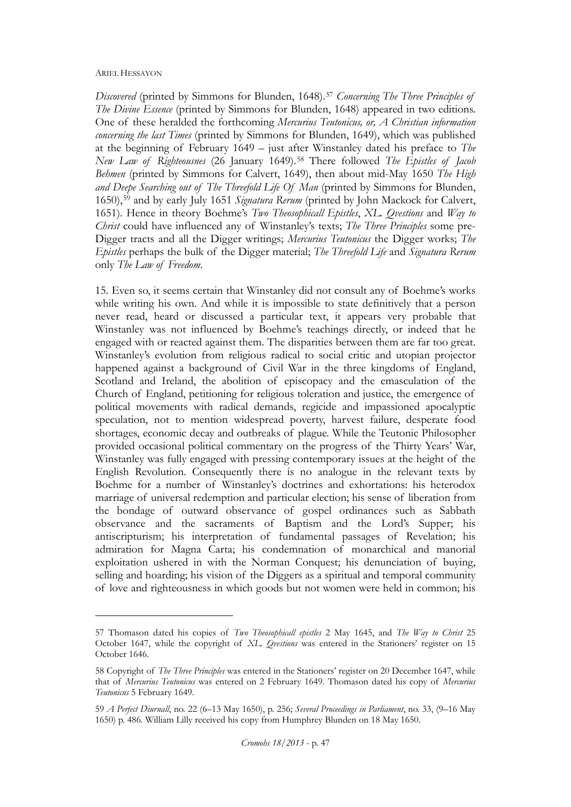*Discovered* (printed by Simmons for Blunden, 1648).[57](#page-11-0) *Concerning The Three Principles of The Divine Essence* (printed by Simmons for Blunden, 1648) appeared in two editions. One of these heralded the forthcoming *Mercurius Teutonicus, or, A Christian information concerning the last Times* (printed by Simmons for Blunden, 1649), which was published at the beginning of February 1649 – just after Winstanley dated his preface to *The New Law of Righteousnes* (26 January 1649).[58](#page-11-0) There followed *The Epistles of Jacob Behmen* (printed by Simmons for Calvert, 1649), then about mid-May 1650 *The High and Deepe Searching out of The Threefold Life Of Man* (printed by Simmons for Blunden, 1650),[59](#page-11-0) and by early July 1651 *Signatura Rerum* (printed by John Mackock for Calvert, 1651). Hence in theory Boehme's *Two Theosophicall Epistles*, *XL. Qvestions* and *Way to Christ* could have influenced any of Winstanley's texts; *The Three Principles* some pre-Digger tracts and all the Digger writings; *Mercurius Teutonicus* the Digger works; *The Epistles* perhaps the bulk of the Digger material; *The Threefold Life* and *Signatura Rerum* only *The Law of Freedom*.

15. Even so, it seems certain that Winstanley did not consult any of Boehme's works while writing his own. And while it is impossible to state definitively that a person never read, heard or discussed a particular text, it appears very probable that Winstanley was not influenced by Boehme's teachings directly, or indeed that he engaged with or reacted against them. The disparities between them are far too great. Winstanley's evolution from religious radical to social critic and utopian projector happened against a background of Civil War in the three kingdoms of England, Scotland and Ireland, the abolition of episcopacy and the emasculation of the Church of England, petitioning for religious toleration and justice, the emergence of political movements with radical demands, regicide and impassioned apocalyptic speculation, not to mention widespread poverty, harvest failure, desperate food shortages, economic decay and outbreaks of plague. While the Teutonic Philosopher provided occasional political commentary on the progress of the Thirty Years' War, Winstanley was fully engaged with pressing contemporary issues at the height of the English Revolution. Consequently there is no analogue in the relevant texts by Boehme for a number of Winstanley's doctrines and exhortations: his heterodox marriage of universal redemption and particular election; his sense of liberation from the bondage of outward observance of gospel ordinances such as Sabbath observance and the sacraments of Baptism and the Lord's Supper; his antiscripturism; his interpretation of fundamental passages of Revelation; his admiration for Magna Carta; his condemnation of monarchical and manorial exploitation ushered in with the Norman Conquest; his denunciation of buying, selling and hoarding; his vision of the Diggers as a spiritual and temporal community of love and righteousness in which goods but not women were held in common; his

<span id="page-11-0"></span><sup>57</sup> Thomason dated his copies of *Two Theosophicall epistles* 2 May 1645, and *The Way to Christ* 25 October 1647, while the copyright of *XL. Qvestions* was entered in the Stationers' register on 15 October 1646.

<sup>58</sup> Copyright of *The Three Principles* was entered in the Stationers' register on 20 December 1647, while that of *Mercurius Teutonicus* was entered on 2 February 1649. Thomason dated his copy of *Mercurius Teutonicus* 5 February 1649.

<sup>59</sup> *A Perfect Diurnall*, no. 22 (6–13 May 1650), p. 256; *Several Proceedings in Parliament*, no. 33, (9–16 May 1650) p. 486. William Lilly received his copy from Humphrey Blunden on 18 May 1650.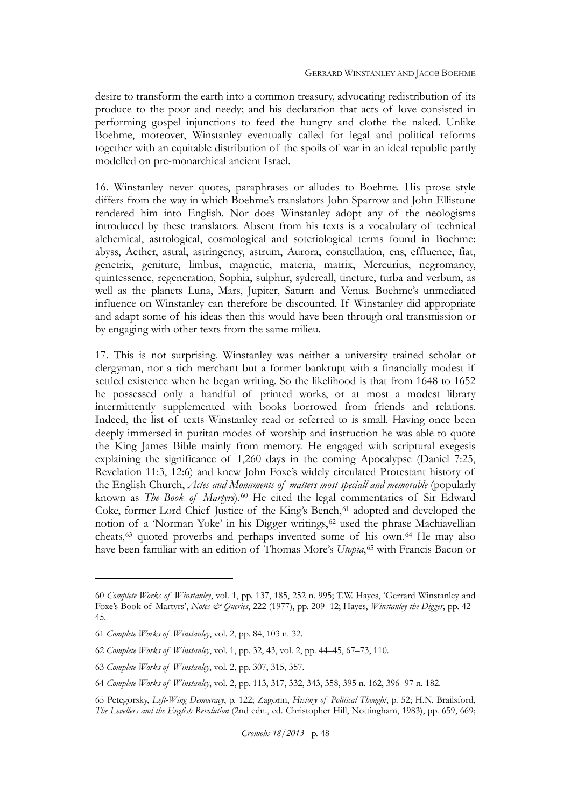desire to transform the earth into a common treasury, advocating redistribution of its produce to the poor and needy; and his declaration that acts of love consisted in performing gospel injunctions to feed the hungry and clothe the naked. Unlike Boehme, moreover, Winstanley eventually called for legal and political reforms together with an equitable distribution of the spoils of war in an ideal republic partly modelled on pre-monarchical ancient Israel.

16. Winstanley never quotes, paraphrases or alludes to Boehme. His prose style differs from the way in which Boehme's translators John Sparrow and John Ellistone rendered him into English. Nor does Winstanley adopt any of the neologisms introduced by these translators. Absent from his texts is a vocabulary of technical alchemical, astrological, cosmological and soteriological terms found in Boehme: abyss, Aether, astral, astringency, astrum, Aurora, constellation, ens, effluence, fiat, genetrix, geniture, limbus, magnetic, materia, matrix, Mercurius, negromancy, quintessence, regeneration, Sophia, sulphur, sydereall, tincture, turba and verbum, as well as the planets Luna, Mars, Jupiter, Saturn and Venus. Boehme's unmediated influence on Winstanley can therefore be discounted. If Winstanley did appropriate and adapt some of his ideas then this would have been through oral transmission or by engaging with other texts from the same milieu.

17. This is not surprising. Winstanley was neither a university trained scholar or clergyman, nor a rich merchant but a former bankrupt with a financially modest if settled existence when he began writing. So the likelihood is that from 1648 to 1652 he possessed only a handful of printed works, or at most a modest library intermittently supplemented with books borrowed from friends and relations. Indeed, the list of texts Winstanley read or referred to is small. Having once been deeply immersed in puritan modes of worship and instruction he was able to quote the King James Bible mainly from memory. He engaged with scriptural exegesis explaining the significance of 1,260 days in the coming Apocalypse (Daniel 7:25, Revelation 11:3, 12:6) and knew John Foxe's widely circulated Protestant history of the English Church, *Actes and Monuments of matters most speciall and memorable* (popularly known as *The Book of Martyrs*).[60](#page-12-0) He cited the legal commentaries of Sir Edward Coke, former Lord Chief Justice of the King's Bench,<sup>[61](#page-12-0)</sup> adopted and developed the notion of a 'Norman Yoke' in his Digger writings,<sup>[62](#page-12-0)</sup> used the phrase Machiavellian cheats,[63](#page-12-0) quoted proverbs and perhaps invented some of his own.[64](#page-12-0) He may also have been familiar with an edition of Thomas More's *Utopia*,<sup>[65](#page-12-0)</sup> with Francis Bacon or

<span id="page-12-0"></span><sup>60</sup> *Complete Works of Winstanley*, vol. 1, pp. 137, 185, 252 n. 995; T.W. Hayes, 'Gerrard Winstanley and Foxe's Book of Martyrs', *Notes & Queries*, 222 (1977), pp. 209–12; Hayes, *Winstanley the Digger*, pp. 42– 45.

<sup>61</sup> *Complete Works of Winstanley*, vol. 2, pp. 84, 103 n. 32.

<sup>62</sup> *Complete Works of Winstanley*, vol. 1, pp. 32, 43, vol. 2, pp. 44–45, 67–73, 110.

<sup>63</sup> *Complete Works of Winstanley*, vol. 2, pp. 307, 315, 357.

<sup>64</sup> *Complete Works of Winstanley*, vol. 2, pp. 113, 317, 332, 343, 358, 395 n. 162, 396–97 n. 182.

<sup>65</sup> Petegorsky, *Left-Wing Democracy*, p. 122; Zagorin, *History of Political Thought*, p. 52; H.N. Brailsford, *The Levellers and the English Revolution* (2nd edn., ed. Christopher Hill, Nottingham, 1983), pp. 659, 669;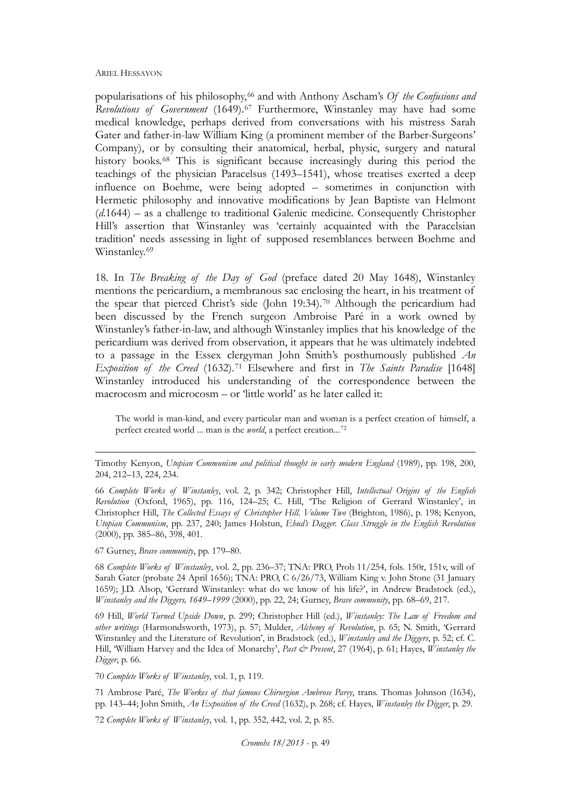popularisations of his philosophy,[66](#page-13-0) and with Anthony Ascham's *Of the Confusions and Revolutions of Government* (1649).[67](#page-13-0) Furthermore, Winstanley may have had some medical knowledge, perhaps derived from conversations with his mistress Sarah Gater and father-in-law William King (a prominent member of the Barber-Surgeons' Company), or by consulting their anatomical, herbal, physic, surgery and natural history books.<sup>[68](#page-13-0)</sup> This is significant because increasingly during this period the teachings of the physician Paracelsus (1493–1541), whose treatises exerted a deep influence on Boehme, were being adopted – sometimes in conjunction with Hermetic philosophy and innovative modifications by Jean Baptiste van Helmont (*d*.1644) – as a challenge to traditional Galenic medicine. Consequently Christopher Hill's assertion that Winstanley was 'certainly acquainted with the Paracelsian tradition' needs assessing in light of supposed resemblances between Boehme and Winstanley.<sup>[69](#page-13-0)</sup>

18. In *The Breaking of the Day of God* (preface dated 20 May 1648), Winstanley mentions the pericardium, a membranous sac enclosing the heart, in his treatment of the spear that pierced Christ's side (John 19:34).[70](#page-13-0) Although the pericardium had been discussed by the French surgeon Ambroise Paré in a work owned by Winstanley's father-in-law, and although Winstanley implies that his knowledge of the pericardium was derived from observation, it appears that he was ultimately indebted to a passage in the Essex clergyman John Smith's posthumously published *An Exposition of the Creed* (1632).[71](#page-13-0) Elsewhere and first in *The Saints Paradise* [1648] Winstanley introduced his understanding of the correspondence between the macrocosm and microcosm – or 'little world' as he later called it:

The world is man-kind, and every particular man and woman is a perfect creation of himself, a perfect created world ... man is the *world*, a perfect creation...[72](#page-13-0)

<span id="page-13-0"></span>Timothy Kenyon, *Utopian Communism and political thought in early modern England* (1989), pp. 198, 200, 204, 212–13, 224, 234.

66 *Complete Works of Winstanley*, vol. 2, p. 342; Christopher Hill, *Intellectual Origins of the English Revolution* (Oxford, 1965), pp. 116, 124–25; C. Hill, 'The Religion of Gerrard Winstanley', in Christopher Hill, *The Collected Essays of Christopher Hill. Volume Two* (Brighton, 1986), p. 198; Kenyon, *Utopian Communism*, pp. 237, 240; James Holstun, *Ehud's Dagger. Class Struggle in the English Revolution* (2000), pp. 385–86, 398, 401.

67 Gurney, *Brave community*, pp. 179–80.

 $\overline{a}$ 

68 *Complete Works of Winstanley*, vol. 2, pp. 236–37; TNA: PRO, Prob 11/254, fols. 150r, 151v, will of Sarah Gater (probate 24 April 1656); TNA: PRO, C 6/26/73, William King v. John Stone (31 January 1659); J.D. Alsop, 'Gerrard Winstanley: what do we know of his life?', in Andrew Bradstock (ed.), *Winstanley and the Diggers, 1649–1999* (2000), pp. 22, 24; Gurney, *Brave community*, pp. 68–69, 217.

69 Hill, *World Turned Upside Down*, p. 299; Christopher Hill (ed.), *Winstanley: The Law of Freedom and other writings* (Harmondsworth, 1973), p. 57; Mulder, *Alchemy of Revolution*, p. 65; N. Smith, 'Gerrard Winstanley and the Literature of Revolution', in Bradstock (ed.), *Winstanley and the Diggers*, p. 52; cf. C. Hill, 'William Harvey and the Idea of Monarchy', *Past & Present*, 27 (1964), p. 61; Hayes, *Winstanley the Digger*, p. 66.

70 *Complete Works of Winstanley*, vol. 1, p. 119.

71 Ambrose Paré, *The Workes of that famous Chirurgion Ambrose Parey*, trans. Thomas Johnson (1634), pp. 143–44; John Smith, *An Exposition of the Creed* (1632), p. 268; cf. Hayes, *Winstanley the Digger*, p. 29.

72 *Complete Works of Winstanley*, vol. 1, pp. 352, 442, vol. 2, p. 85.

*Cromohs 18/2013* - p. 49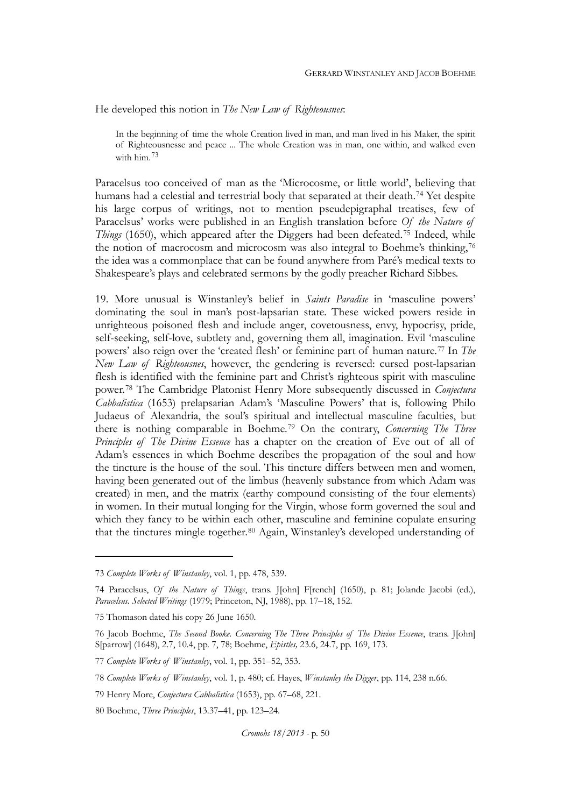He developed this notion in *The New Law of Righteousnes*:

In the beginning of time the whole Creation lived in man, and man lived in his Maker, the spirit of Righteousnesse and peace ... The whole Creation was in man, one within, and walked even with him.<sup>[73](#page-14-0)</sup>

Paracelsus too conceived of man as the 'Microcosme, or little world', believing that humans had a celestial and terrestrial body that separated at their death.<sup>[74](#page-14-0)</sup> Yet despite his large corpus of writings, not to mention pseudepigraphal treatises, few of Paracelsus' works were published in an English translation before *Of the Nature of Things* (1650), which appeared after the Diggers had been defeated.[75](#page-14-0) Indeed, while the notion of macrocosm and microcosm was also integral to Boehme's thinking,<sup>[76](#page-14-0)</sup> the idea was a commonplace that can be found anywhere from Paré's medical texts to Shakespeare's plays and celebrated sermons by the godly preacher Richard Sibbes.

19. More unusual is Winstanley's belief in *Saints Paradise* in 'masculine powers' dominating the soul in man's post-lapsarian state. These wicked powers reside in unrighteous poisoned flesh and include anger, covetousness, envy, hypocrisy, pride, self-seeking, self-love, subtlety and, governing them all, imagination. Evil 'masculine powers' also reign over the 'created flesh' or feminine part of human nature.[77](#page-14-0) In *The New Law of Righteousnes*, however, the gendering is reversed: cursed post-lapsarian flesh is identified with the feminine part and Christ's righteous spirit with masculine power.[78](#page-14-0) The Cambridge Platonist Henry More subsequently discussed in *Conjectura Cabbalistica* (1653) prelapsarian Adam's 'Masculine Powers' that is, following Philo Judaeus of Alexandria, the soul's spiritual and intellectual masculine faculties, but there is nothing comparable in Boehme.[79](#page-14-0) On the contrary, *Concerning The Three Principles of The Divine Essence* has a chapter on the creation of Eve out of all of Adam's essences in which Boehme describes the propagation of the soul and how the tincture is the house of the soul. This tincture differs between men and women, having been generated out of the limbus (heavenly substance from which Adam was created) in men, and the matrix (earthy compound consisting of the four elements) in women. In their mutual longing for the Virgin, whose form governed the soul and which they fancy to be within each other, masculine and feminine copulate ensuring that the tinctures mingle together.[80](#page-14-0) Again, Winstanley's developed understanding of

<span id="page-14-0"></span><sup>73</sup> *Complete Works of Winstanley*, vol. 1, pp. 478, 539.

<sup>74</sup> Paracelsus, *Of the Nature of Things*, trans. J[ohn] F[rench] (1650), p. 81; Jolande Jacobi (ed.), *Paracelsus. Selected Writings* (1979; Princeton, NJ, 1988), pp. 17–18, 152.

<sup>75</sup> Thomason dated his copy 26 June 1650.

<sup>76</sup> Jacob Boehme, *The Second Booke. Concerning The Three Principles of The Divine Essence*, trans. J[ohn] S[parrow] (1648), 2.7, 10.4, pp. 7, 78; Boehme, *Epistles,* 23.6, 24.7, pp. 169, 173.

<sup>77</sup> *Complete Works of Winstanley*, vol. 1, pp. 351–52, 353.

<sup>78</sup> *Complete Works of Winstanley*, vol. 1, p. 480; cf. Hayes, *Winstanley the Digger*, pp. 114, 238 n.66.

<sup>79</sup> Henry More, *Conjectura Cabbalistica* (1653), pp. 67–68, 221.

<sup>80</sup> Boehme, *Three Principles*, 13.37–41, pp. 123–24.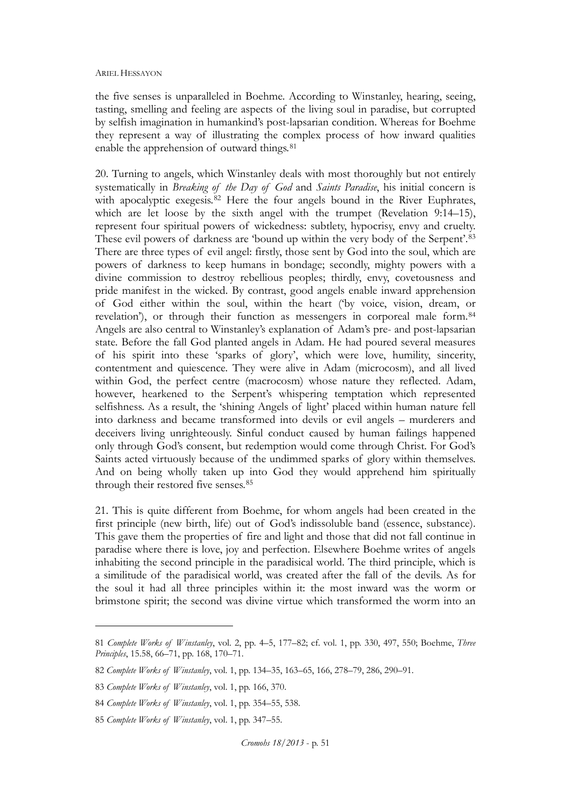the five senses is unparalleled in Boehme. According to Winstanley, hearing, seeing, tasting, smelling and feeling are aspects of the living soul in paradise, but corrupted by selfish imagination in humankind's post-lapsarian condition. Whereas for Boehme they represent a way of illustrating the complex process of how inward qualities enable the apprehension of outward things.<sup>[81](#page-15-0)</sup>

20. Turning to angels, which Winstanley deals with most thoroughly but not entirely systematically in *Breaking of the Day of God* and *Saints Paradise*, his initial concern is with apocalyptic exegesis.<sup>[82](#page-15-0)</sup> Here the four angels bound in the River Euphrates, which are let loose by the sixth angel with the trumpet (Revelation 9:14–15), represent four spiritual powers of wickedness: subtlety, hypocrisy, envy and cruelty. These evil powers of darkness are 'bound up within the very body of the Serpent'.[83](#page-15-0) There are three types of evil angel: firstly, those sent by God into the soul, which are powers of darkness to keep humans in bondage; secondly, mighty powers with a divine commission to destroy rebellious peoples; thirdly, envy, covetousness and pride manifest in the wicked. By contrast, good angels enable inward apprehension of God either within the soul, within the heart ('by voice, vision, dream, or revelation'), or through their function as messengers in corporeal male form.<sup>[84](#page-15-0)</sup> Angels are also central to Winstanley's explanation of Adam's pre- and post-lapsarian state. Before the fall God planted angels in Adam. He had poured several measures of his spirit into these 'sparks of glory', which were love, humility, sincerity, contentment and quiescence. They were alive in Adam (microcosm), and all lived within God, the perfect centre (macrocosm) whose nature they reflected. Adam, however, hearkened to the Serpent's whispering temptation which represented selfishness. As a result, the 'shining Angels of light' placed within human nature fell into darkness and became transformed into devils or evil angels – murderers and deceivers living unrighteously. Sinful conduct caused by human failings happened only through God's consent, but redemption would come through Christ. For God's Saints acted virtuously because of the undimmed sparks of glory within themselves. And on being wholly taken up into God they would apprehend him spiritually through their restored five senses.<sup>[85](#page-15-0)</sup>

21. This is quite different from Boehme, for whom angels had been created in the first principle (new birth, life) out of God's indissoluble band (essence, substance). This gave them the properties of fire and light and those that did not fall continue in paradise where there is love, joy and perfection. Elsewhere Boehme writes of angels inhabiting the second principle in the paradisical world. The third principle, which is a similitude of the paradisical world, was created after the fall of the devils. As for the soul it had all three principles within it: the most inward was the worm or brimstone spirit; the second was divine virtue which transformed the worm into an

<span id="page-15-0"></span><sup>81</sup> *Complete Works of Winstanley*, vol. 2, pp. 4–5, 177–82; cf. vol. 1, pp. 330, 497, 550; Boehme, *Three Principles*, 15.58, 66–71, pp. 168, 170–71.

<sup>82</sup> *Complete Works of Winstanley*, vol. 1, pp. 134–35, 163–65, 166, 278–79, 286, 290–91.

<sup>83</sup> *Complete Works of Winstanley*, vol. 1, pp. 166, 370.

<sup>84</sup> *Complete Works of Winstanley*, vol. 1, pp. 354–55, 538.

<sup>85</sup> *Complete Works of Winstanley*, vol. 1, pp. 347–55.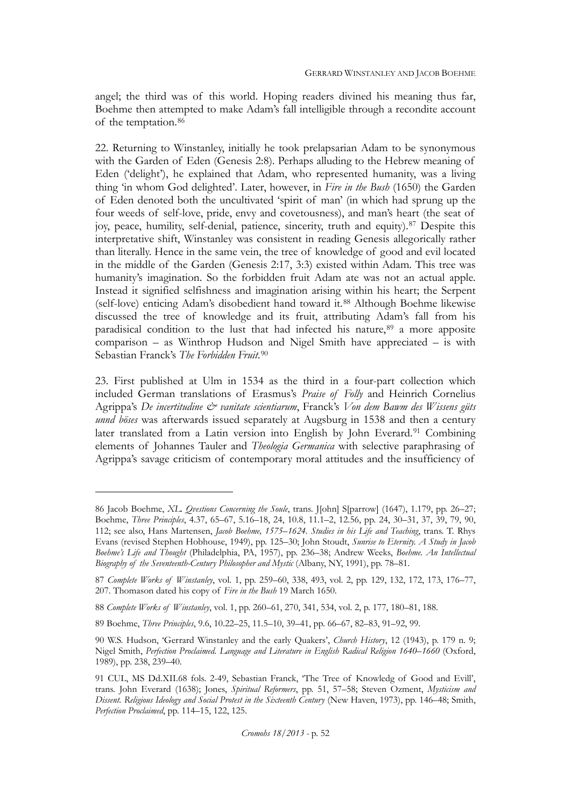angel; the third was of this world. Hoping readers divined his meaning thus far, Boehme then attempted to make Adam's fall intelligible through a recondite account of the temptation.[86](#page-16-0)

22. Returning to Winstanley, initially he took prelapsarian Adam to be synonymous with the Garden of Eden (Genesis 2:8). Perhaps alluding to the Hebrew meaning of Eden ('delight'), he explained that Adam, who represented humanity, was a living thing 'in whom God delighted'. Later, however, in *Fire in the Bush* (1650) the Garden of Eden denoted both the uncultivated 'spirit of man' (in which had sprung up the four weeds of self-love, pride, envy and covetousness), and man's heart (the seat of joy, peace, humility, self-denial, patience, sincerity, truth and equity).[87](#page-16-0) Despite this interpretative shift, Winstanley was consistent in reading Genesis allegorically rather than literally. Hence in the same vein, the tree of knowledge of good and evil located in the middle of the Garden (Genesis 2:17, 3:3) existed within Adam. This tree was humanity's imagination. So the forbidden fruit Adam ate was not an actual apple. Instead it signified selfishness and imagination arising within his heart; the Serpent (self-love) enticing Adam's disobedient hand toward it.[88](#page-16-0) Although Boehme likewise discussed the tree of knowledge and its fruit, attributing Adam's fall from his paradisical condition to the lust that had infected his nature,<sup>[89](#page-16-0)</sup> a more apposite comparison – as Winthrop Hudson and Nigel Smith have appreciated – is with Sebastian Franck's *The Forbidden Fruit*.[90](#page-16-0)

23. First published at Ulm in 1534 as the third in a four-part collection which included German translations of Erasmus's *Praise of Folly* and Heinrich Cornelius Agrippa's *De incertitudine & vanitate scientiarum*, Franck's *Von dem Bawm des Wissens güts unnd böses* was afterwards issued separately at Augsburg in 1538 and then a century later translated from a Latin version into English by John Everard.<sup>[91](#page-16-0)</sup> Combining elements of Johannes Tauler and *Theologia Germanica* with selective paraphrasing of Agrippa's savage criticism of contemporary moral attitudes and the insufficiency of

<span id="page-16-0"></span><sup>86</sup> Jacob Boehme, *XL. Qvestions Concerning the Soule*, trans. J[ohn] S[parrow] (1647), 1.179, pp. 26–27; Boehme, *Three Principles*, 4.37, 65–67, 5.16–18, 24, 10.8, 11.1–2, 12.56, pp. 24, 30–31, 37, 39, 79, 90, 112; see also, Hans Martensen, *Jacob Boehme, 1575–1624. Studies in his Life and Teaching*, trans. T. Rhys Evans (revised Stephen Hobhouse, 1949), pp. 125–30; John Stoudt, *Sunrise to Eternity. A Study in Jacob Boehme's Life and Thought* (Philadelphia, PA, 1957), pp. 236–38; Andrew Weeks, *Boehme. An Intellectual Biography of the Seventeenth-Century Philosopher and Mystic* (Albany, NY, 1991), pp. 78–81.

<sup>87</sup> *Complete Works of Winstanley*, vol. 1, pp. 259–60, 338, 493, vol. 2, pp. 129, 132, 172, 173, 176–77, 207. Thomason dated his copy of *Fire in the Bush* 19 March 1650.

<sup>88</sup> *Complete Works of Winstanley*, vol. 1, pp. 260–61, 270, 341, 534, vol. 2, p. 177, 180–81, 188.

<sup>89</sup> Boehme, *Three Principles*, 9.6, 10.22–25, 11.5–10, 39–41, pp. 66–67, 82–83, 91–92, 99.

<sup>90</sup> W.S. Hudson, 'Gerrard Winstanley and the early Quakers', *Church History*, 12 (1943), p. 179 n. 9; Nigel Smith, *Perfection Proclaimed. Language and Literature in English Radical Religion 1640–1660* (Oxford, 1989), pp. 238, 239–40.

<sup>91</sup> CUL, MS Dd.XII.68 fols. 2-49, Sebastian Franck, 'The Tree of Knowledg of Good and Evill', trans. John Everard (1638); Jones, *Spiritual Reformers*, pp. 51, 57–58; Steven Ozment, *Mysticism and Dissent. Religious Ideology and Social Protest in the Sixteenth Century* (New Haven, 1973), pp. 146–48; Smith, *Perfection Proclaimed*, pp. 114–15, 122, 125.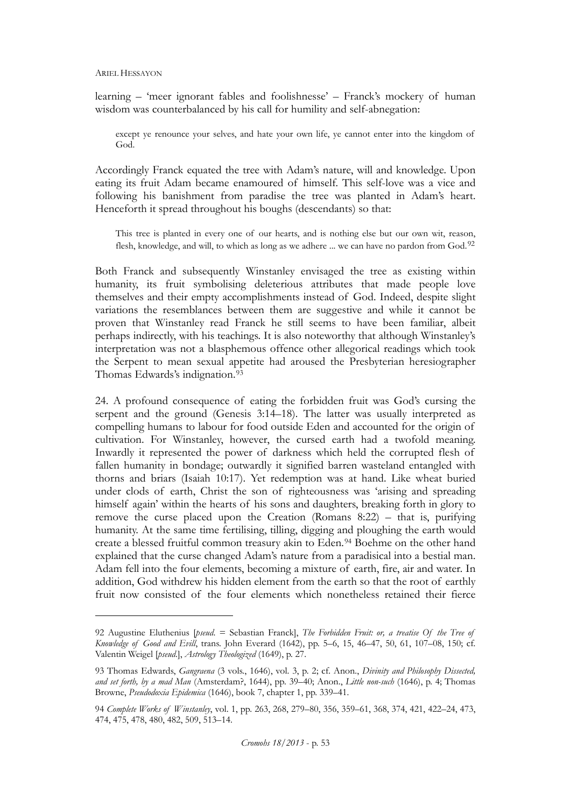learning – 'meer ignorant fables and foolishnesse' – Franck's mockery of human wisdom was counterbalanced by his call for humility and self-abnegation:

except ye renounce your selves, and hate your own life, ye cannot enter into the kingdom of God.

Accordingly Franck equated the tree with Adam's nature, will and knowledge. Upon eating its fruit Adam became enamoured of himself. This self-love was a vice and following his banishment from paradise the tree was planted in Adam's heart. Henceforth it spread throughout his boughs (descendants) so that:

This tree is planted in every one of our hearts, and is nothing else but our own wit, reason, flesh, knowledge, and will, to which as long as we adhere ... we can have no pardon from God.<sup>[92](#page-17-0)</sup>

Both Franck and subsequently Winstanley envisaged the tree as existing within humanity, its fruit symbolising deleterious attributes that made people love themselves and their empty accomplishments instead of God. Indeed, despite slight variations the resemblances between them are suggestive and while it cannot be proven that Winstanley read Franck he still seems to have been familiar, albeit perhaps indirectly, with his teachings. It is also noteworthy that although Winstanley's interpretation was not a blasphemous offence other allegorical readings which took the Serpent to mean sexual appetite had aroused the Presbyterian heresiographer Thomas Edwards's indignation.[93](#page-17-0)

24. A profound consequence of eating the forbidden fruit was God's cursing the serpent and the ground (Genesis 3:14–18). The latter was usually interpreted as compelling humans to labour for food outside Eden and accounted for the origin of cultivation. For Winstanley, however, the cursed earth had a twofold meaning. Inwardly it represented the power of darkness which held the corrupted flesh of fallen humanity in bondage; outwardly it signified barren wasteland entangled with thorns and briars (Isaiah 10:17). Yet redemption was at hand. Like wheat buried under clods of earth, Christ the son of righteousness was 'arising and spreading himself again' within the hearts of his sons and daughters, breaking forth in glory to remove the curse placed upon the Creation (Romans 8:22) – that is, purifying humanity. At the same time fertilising, tilling, digging and ploughing the earth would create a blessed fruitful common treasury akin to Eden.[94](#page-17-0) Boehme on the other hand explained that the curse changed Adam's nature from a paradisical into a bestial man. Adam fell into the four elements, becoming a mixture of earth, fire, air and water. In addition, God withdrew his hidden element from the earth so that the root of earthly fruit now consisted of the four elements which nonetheless retained their fierce

<span id="page-17-0"></span><sup>92</sup> Augustine Eluthenius [*pseud*. = Sebastian Franck], *The Forbidden Fruit: or, a treatise Of the Tree of Knowledge of Good and Evill*, trans. John Everard (1642), pp. 5–6, 15, 46–47, 50, 61, 107–08, 150; cf. Valentin Weigel [*pseud*.], *Astrology Theologized* (1649), p. 27.

<sup>93</sup> Thomas Edwards, *Gangraena* (3 vols., 1646), vol. 3, p. 2; cf. Anon., *Divinity and Philosophy Dissected, and set forth, by a mad Man* (Amsterdam?, 1644), pp. 39–40; Anon., *Little non-such* (1646), p. 4; Thomas Browne, *Pseudodoxia Epidemica* (1646), book 7, chapter 1, pp. 339–41.

<sup>94</sup> *Complete Works of Winstanley*, vol. 1, pp. 263, 268, 279–80, 356, 359–61, 368, 374, 421, 422–24, 473, 474, 475, 478, 480, 482, 509, 513–14.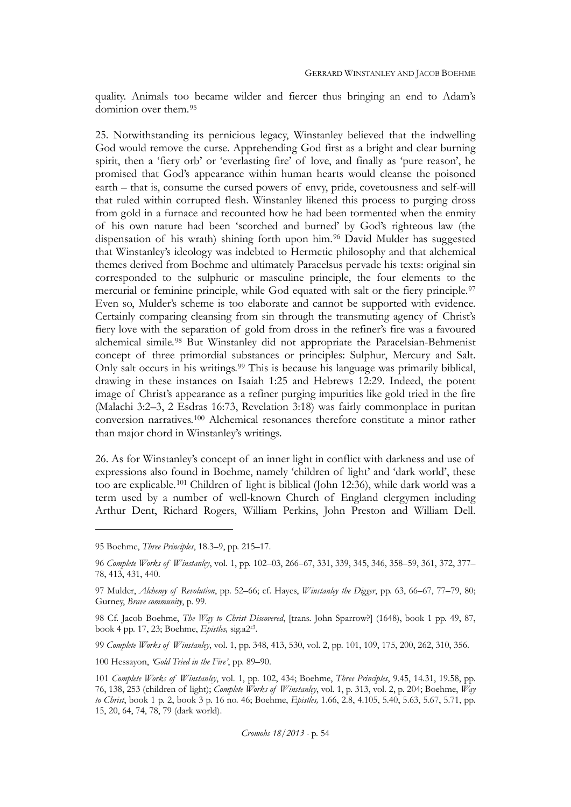quality. Animals too became wilder and fiercer thus bringing an end to Adam's dominion over them.[95](#page-18-0)

25. Notwithstanding its pernicious legacy, Winstanley believed that the indwelling God would remove the curse. Apprehending God first as a bright and clear burning spirit, then a 'fiery orb' or 'everlasting fire' of love, and finally as 'pure reason', he promised that God's appearance within human hearts would cleanse the poisoned earth – that is, consume the cursed powers of envy, pride, covetousness and self-will that ruled within corrupted flesh. Winstanley likened this process to purging dross from gold in a furnace and recounted how he had been tormented when the enmity of his own nature had been 'scorched and burned' by God's righteous law (the dispensation of his wrath) shining forth upon him.[96](#page-18-0) David Mulder has suggested that Winstanley's ideology was indebted to Hermetic philosophy and that alchemical themes derived from Boehme and ultimately Paracelsus pervade his texts: original sin corresponded to the sulphuric or masculine principle, the four elements to the mercurial or feminine principle, while God equated with salt or the fiery principle.[97](#page-18-0) Even so, Mulder's scheme is too elaborate and cannot be supported with evidence. Certainly comparing cleansing from sin through the transmuting agency of Christ's fiery love with the separation of gold from dross in the refiner's fire was a favoured alchemical simile.[98](#page-18-0) But Winstanley did not appropriate the Paracelsian-Behmenist concept of three primordial substances or principles: Sulphur, Mercury and Salt. Only salt occurs in his writings.[99](#page-18-0) This is because his language was primarily biblical, drawing in these instances on Isaiah 1:25 and Hebrews 12:29. Indeed, the potent image of Christ's appearance as a refiner purging impurities like gold tried in the fire (Malachi 3:2–3, 2 Esdras 16:73, Revelation 3:18) was fairly commonplace in puritan conversion narratives.[100](#page-18-0) Alchemical resonances therefore constitute a minor rather than major chord in Winstanley's writings.

26. As for Winstanley's concept of an inner light in conflict with darkness and use of expressions also found in Boehme, namely 'children of light' and 'dark world', these too are explicable.[101](#page-18-0) Children of light is biblical (John 12:36), while dark world was a term used by a number of well-known Church of England clergymen including Arthur Dent, Richard Rogers, William Perkins, John Preston and William Dell.

 $\overline{a}$ 

99 *Complete Works of Winstanley*, vol. 1, pp. 348, 413, 530, vol. 2, pp. 101, 109, 175, 200, 262, 310, 356.

100 Hessayon, *'Gold Tried in the Fire'*, pp. 89–90.

<span id="page-18-0"></span><sup>95</sup> Boehme, *Three Principles*, 18.3–9, pp. 215–17.

<sup>96</sup> *Complete Works of Winstanley*, vol. 1, pp. 102–03, 266–67, 331, 339, 345, 346, 358–59, 361, 372, 377– 78, 413, 431, 440.

<sup>97</sup> Mulder, *Alchemy of Revolution*, pp. 52–66; cf. Hayes, *Winstanley the Digger*, pp. 63, 66–67, 77–79, 80; Gurney, *Brave community*, p. 99.

<sup>98</sup> Cf. Jacob Boehme, *The Way to Christ Discovered*, [trans. John Sparrow?] (1648), book 1 pp. 49, 87, book 4 pp. 17, 23; Boehme, *Epistles,* sig.a2r3.

<sup>101</sup> *Complete Works of Winstanley*, vol. 1, pp. 102, 434; Boehme, *Three Principles*, 9.45, 14.31, 19.58, pp. 76, 138, 253 (children of light); *Complete Works of Winstanley*, vol. 1, p. 313, vol. 2, p. 204; Boehme, *Way to Christ*, book 1 p. 2, book 3 p. 16 no. 46; Boehme, *Epistles,* 1.66, 2.8, 4.105, 5.40, 5.63, 5.67, 5.71, pp. 15, 20, 64, 74, 78, 79 (dark world).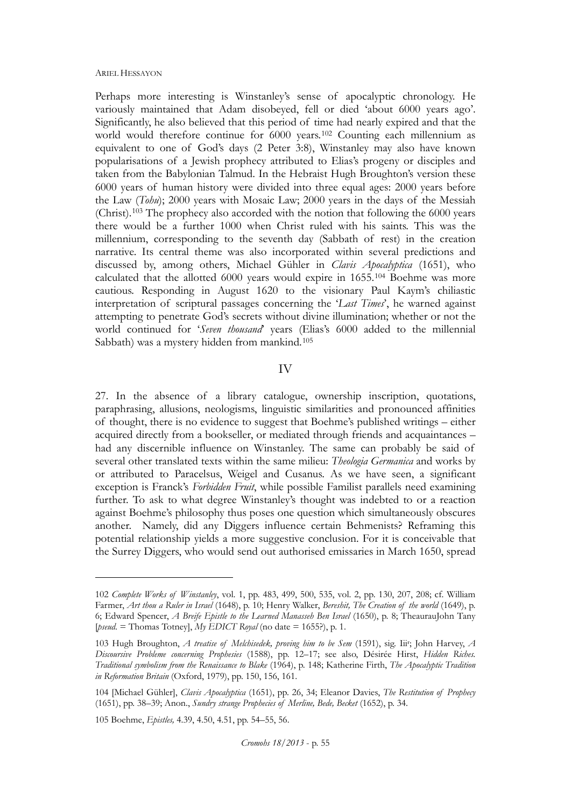Perhaps more interesting is Winstanley's sense of apocalyptic chronology. He variously maintained that Adam disobeyed, fell or died 'about 6000 years ago'. Significantly, he also believed that this period of time had nearly expired and that the world would therefore continue for 6000 years.<sup>[102](#page-19-0)</sup> Counting each millennium as equivalent to one of God's days (2 Peter 3:8), Winstanley may also have known popularisations of a Jewish prophecy attributed to Elias's progeny or disciples and taken from the Babylonian Talmud. In the Hebraist Hugh Broughton's version these 6000 years of human history were divided into three equal ages: 2000 years before the Law (*Tohu*); 2000 years with Mosaic Law; 2000 years in the days of the Messiah (Christ).[103](#page-19-0) The prophecy also accorded with the notion that following the 6000 years there would be a further 1000 when Christ ruled with his saints. This was the millennium, corresponding to the seventh day (Sabbath of rest) in the creation narrative. Its central theme was also incorporated within several predictions and discussed by, among others, Michael Gühler in *Clavis Apocalyptica* (1651), who calculated that the allotted 6000 years would expire in 1655.[104](#page-19-0) Boehme was more cautious. Responding in August 1620 to the visionary Paul Kaym's chiliastic interpretation of scriptural passages concerning the '*Last Times*', he warned against attempting to penetrate God's secrets without divine illumination; whether or not the world continued for '*Seven thousand*' years (Elias's 6000 added to the millennial Sabbath) was a mystery hidden from mankind.<sup>[105](#page-19-0)</sup>

## IV

27. In the absence of a library catalogue, ownership inscription, quotations, paraphrasing, allusions, neologisms, linguistic similarities and pronounced affinities of thought, there is no evidence to suggest that Boehme's published writings – either acquired directly from a bookseller, or mediated through friends and acquaintances – had any discernible influence on Winstanley. The same can probably be said of several other translated texts within the same milieu: *Theologia Germanica* and works by or attributed to Paracelsus, Weigel and Cusanus. As we have seen, a significant exception is Franck's *Forbidden Fruit*, while possible Familist parallels need examining further. To ask to what degree Winstanley's thought was indebted to or a reaction against Boehme's philosophy thus poses one question which simultaneously obscures another. Namely, did any Diggers influence certain Behmenists? Reframing this potential relationship yields a more suggestive conclusion. For it is conceivable that the Surrey Diggers, who would send out authorised emissaries in March 1650, spread

<span id="page-19-0"></span><sup>102</sup> *Complete Works of Winstanley*, vol. 1, pp. 483, 499, 500, 535, vol. 2, pp. 130, 207, 208; cf. William Farmer, *Art thou a Ruler in Israel* (1648), p. 10; Henry Walker, *Bereshit, The Creation of the world* (1649), p. 6; Edward Spencer, *A Breife Epistle to the Learned Manasseh Ben Israel* (1650), p. 8; TheaurauJohn Tany [*pseud*. = Thomas Totney], *My EDICT Royal* (no date = 1655?), p. 1.

<sup>103</sup> Hugh Broughton, *A treatise of Melchisedek, proving him to be Sem* (1591), sig. Iiir ; John Harvey, *A Discoursive Probleme concerning Prophesies* (1588), pp. 12–17; see also, Désirée Hirst, *Hidden Riches. Traditional symbolism from the Renaissance to Blake* (1964), p. 148; Katherine Firth, *The Apocalyptic Tradition in Reformation Britain* (Oxford, 1979), pp. 150, 156, 161.

<sup>104</sup> [Michael Gühler], *Clavis Apocalyptica* (1651), pp. 26, 34; Eleanor Davies, *The Restitution of Prophecy* (1651), pp. 38–39; Anon., *Sundry strange Prophecies of Merline, Bede, Becket* (1652), p. 34.

<sup>105</sup> Boehme, *Epistles,* 4.39, 4.50, 4.51, pp. 54–55, 56.